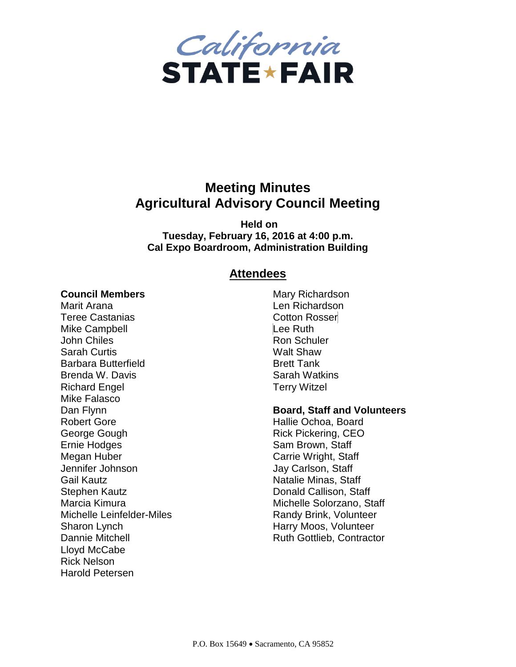

# **Meeting Minutes Agricultural Advisory Council Meeting**

**Held on Tuesday, February 16, 2016 at 4:00 p.m. Cal Expo Boardroom, Administration Building**

### **Attendees**

#### **Council Members**

Marit Arana Teree Castanias Mike Campbell John Chiles Sarah Curtis Barbara Butterfield Brenda W. Davis Richard Engel Mike Falasco Dan Flynn Robert Gore George Gough Ernie Hodges Megan Huber Jennifer Johnson Gail Kautz Stephen Kautz Marcia Kimura Michelle Leinfelder-Miles Sharon Lynch Dannie Mitchell Lloyd McCabe Rick Nelson Harold Petersen

Mary Richardson Len Richardson Cotton Rosser Lee Ruth Ron Schuler Walt Shaw Brett Tank Sarah Watkins Terry Witzel

#### **Board, Staff and Volunteers**

Hallie Ochoa, Board Rick Pickering, CEO Sam Brown, Staff Carrie Wright, Staff Jay Carlson, Staff Natalie Minas, Staff Donald Callison, Staff Michelle Solorzano, Staff Randy Brink, Volunteer Harry Moos, Volunteer Ruth Gottlieb, Contractor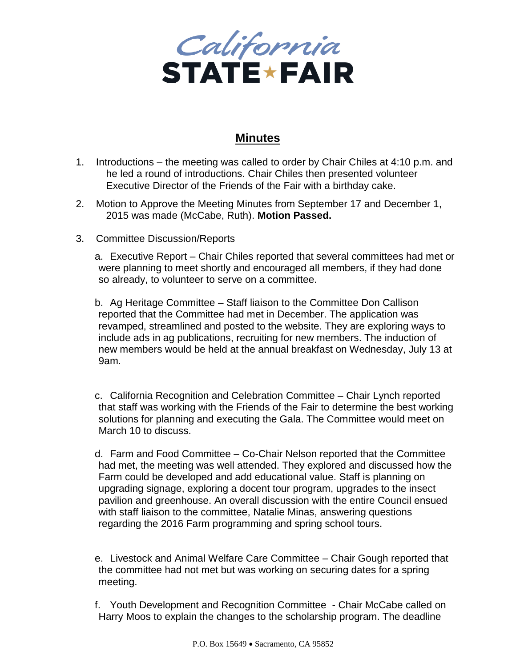

## **Minutes**

- 1. Introductions the meeting was called to order by Chair Chiles at 4:10 p.m. and he led a round of introductions. Chair Chiles then presented volunteer Executive Director of the Friends of the Fair with a birthday cake.
- 2. Motion to Approve the Meeting Minutes from September 17 and December 1, 2015 was made (McCabe, Ruth). **Motion Passed.**
- 3. Committee Discussion/Reports

a. Executive Report – Chair Chiles reported that several committees had met or were planning to meet shortly and encouraged all members, if they had done so already, to volunteer to serve on a committee.

b. Ag Heritage Committee – Staff liaison to the Committee Don Callison reported that the Committee had met in December. The application was revamped, streamlined and posted to the website. They are exploring ways to include ads in ag publications, recruiting for new members. The induction of new members would be held at the annual breakfast on Wednesday, July 13 at 9am.

c. California Recognition and Celebration Committee – Chair Lynch reported that staff was working with the Friends of the Fair to determine the best working solutions for planning and executing the Gala. The Committee would meet on March 10 to discuss.

d. Farm and Food Committee – Co-Chair Nelson reported that the Committee had met, the meeting was well attended. They explored and discussed how the Farm could be developed and add educational value. Staff is planning on upgrading signage, exploring a docent tour program, upgrades to the insect pavilion and greenhouse. An overall discussion with the entire Council ensued with staff liaison to the committee, Natalie Minas, answering questions regarding the 2016 Farm programming and spring school tours.

e. Livestock and Animal Welfare Care Committee – Chair Gough reported that the committee had not met but was working on securing dates for a spring meeting.

f. Youth Development and Recognition Committee - Chair McCabe called on Harry Moos to explain the changes to the scholarship program. The deadline